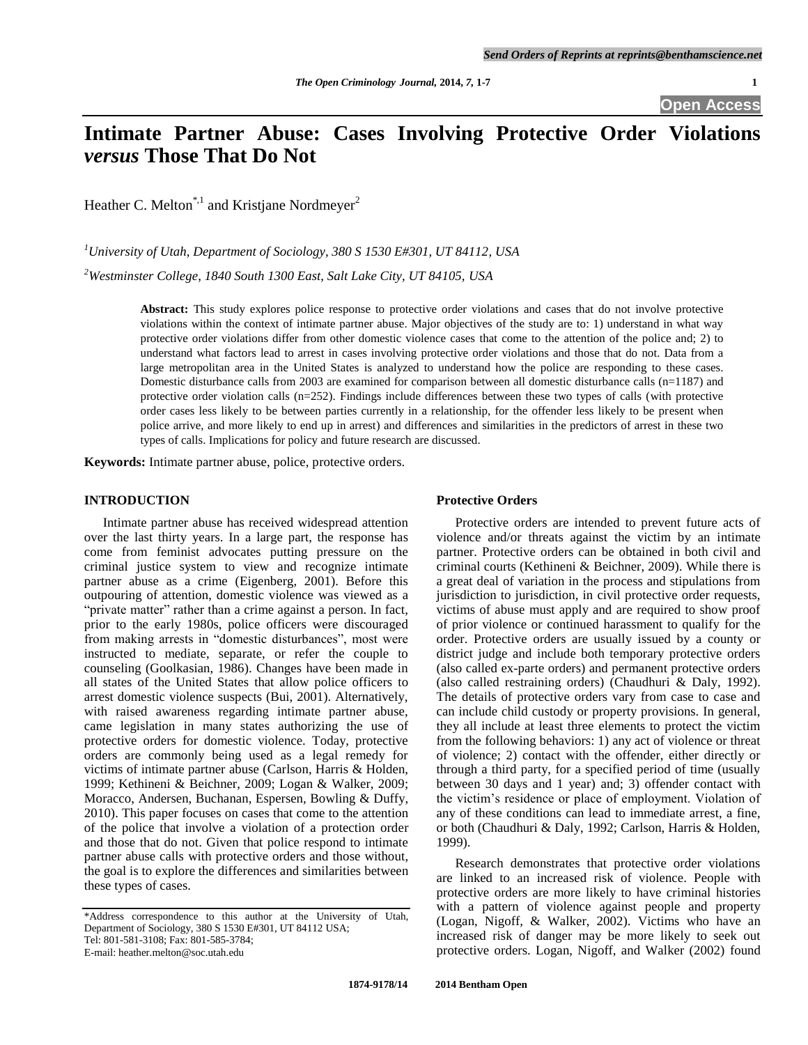# **Intimate Partner Abuse: Cases Involving Protective Order Violations** *versus* **Those That Do Not**

Heather C. Melton<sup>\*,1</sup> and Kristjane Nordmeyer<sup>2</sup>

*<sup>1</sup>University of Utah, Department of Sociology, 380 S 1530 E#301, UT 84112, USA*

*<sup>2</sup>Westminster College, 1840 South 1300 East, Salt Lake City, UT 84105, USA*

**Abstract:** This study explores police response to protective order violations and cases that do not involve protective violations within the context of intimate partner abuse. Major objectives of the study are to: 1) understand in what way protective order violations differ from other domestic violence cases that come to the attention of the police and; 2) to understand what factors lead to arrest in cases involving protective order violations and those that do not. Data from a large metropolitan area in the United States is analyzed to understand how the police are responding to these cases. Domestic disturbance calls from 2003 are examined for comparison between all domestic disturbance calls (n=1187) and protective order violation calls (n=252). Findings include differences between these two types of calls (with protective order cases less likely to be between parties currently in a relationship, for the offender less likely to be present when police arrive, and more likely to end up in arrest) and differences and similarities in the predictors of arrest in these two types of calls. Implications for policy and future research are discussed.

**Keywords:** Intimate partner abuse, police, protective orders.

# **INTRODUCTION**

Intimate partner abuse has received widespread attention over the last thirty years. In a large part, the response has come from feminist advocates putting pressure on the criminal justice system to view and recognize intimate partner abuse as a crime (Eigenberg, 2001). Before this outpouring of attention, domestic violence was viewed as a "private matter" rather than a crime against a person. In fact, prior to the early 1980s, police officers were discouraged from making arrests in "domestic disturbances", most were instructed to mediate, separate, or refer the couple to counseling (Goolkasian, 1986). Changes have been made in all states of the United States that allow police officers to arrest domestic violence suspects (Bui, 2001). Alternatively, with raised awareness regarding intimate partner abuse, came legislation in many states authorizing the use of protective orders for domestic violence. Today, protective orders are commonly being used as a legal remedy for victims of intimate partner abuse (Carlson, Harris & Holden, 1999; Kethineni & Beichner, 2009; Logan & Walker, 2009; Moracco, Andersen, Buchanan, Espersen, Bowling & Duffy, 2010). This paper focuses on cases that come to the attention of the police that involve a violation of a protection order and those that do not. Given that police respond to intimate partner abuse calls with protective orders and those without, the goal is to explore the differences and similarities between these types of cases.

## **Protective Orders**

Protective orders are intended to prevent future acts of violence and/or threats against the victim by an intimate partner. Protective orders can be obtained in both civil and criminal courts (Kethineni & Beichner, 2009). While there is a great deal of variation in the process and stipulations from jurisdiction to jurisdiction, in civil protective order requests, victims of abuse must apply and are required to show proof of prior violence or continued harassment to qualify for the order. Protective orders are usually issued by a county or district judge and include both temporary protective orders (also called ex-parte orders) and permanent protective orders (also called restraining orders) (Chaudhuri & Daly, 1992). The details of protective orders vary from case to case and can include child custody or property provisions. In general, they all include at least three elements to protect the victim from the following behaviors: 1) any act of violence or threat of violence; 2) contact with the offender, either directly or through a third party, for a specified period of time (usually between 30 days and 1 year) and; 3) offender contact with the victim's residence or place of employment. Violation of any of these conditions can lead to immediate arrest, a fine, or both (Chaudhuri & Daly, 1992; Carlson, Harris & Holden, 1999).

Research demonstrates that protective order violations are linked to an increased risk of violence. People with protective orders are more likely to have criminal histories with a pattern of violence against people and property (Logan, Nigoff, & Walker, 2002). Victims who have an increased risk of danger may be more likely to seek out protective orders. Logan, Nigoff, and Walker (2002) found

<sup>\*</sup>Address correspondence to this author at the University of Utah, Department of Sociology, 380 S 1530 E#301, UT 84112 USA; Tel: 801-581-3108; Fax: 801-585-3784;

E-mail: heather.melton@soc.utah.edu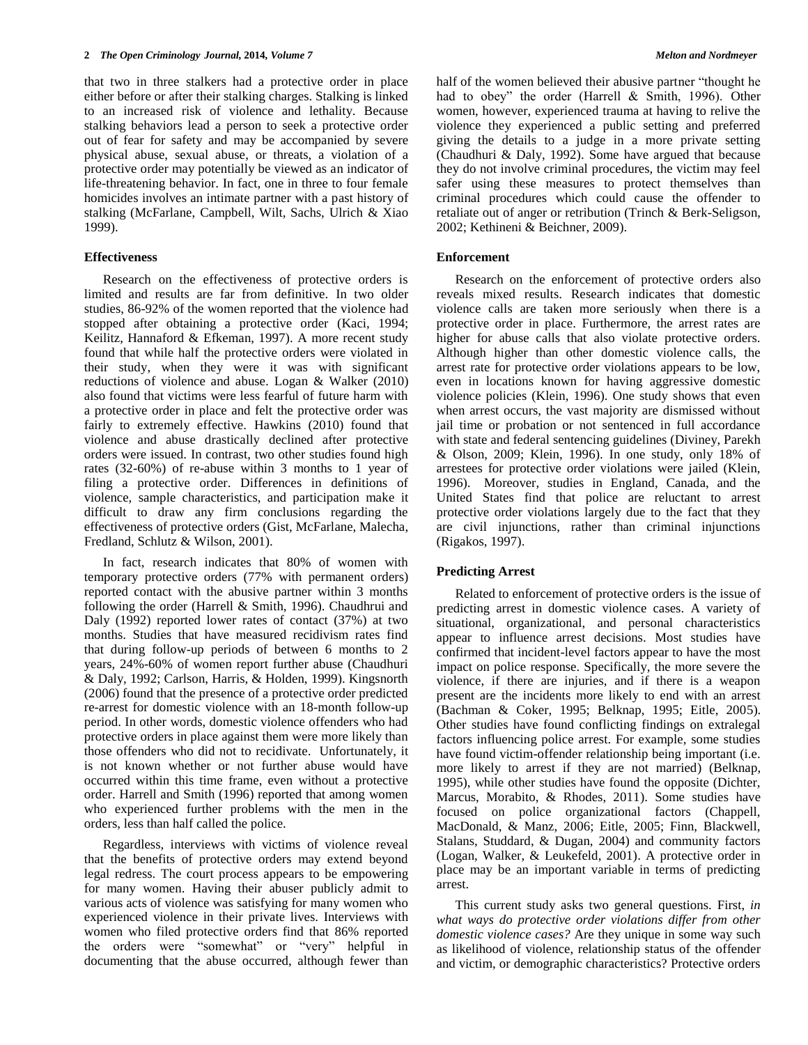that two in three stalkers had a protective order in place either before or after their stalking charges. Stalking is linked to an increased risk of violence and lethality. Because stalking behaviors lead a person to seek a protective order out of fear for safety and may be accompanied by severe physical abuse, sexual abuse, or threats, a violation of a protective order may potentially be viewed as an indicator of life-threatening behavior. In fact, one in three to four female homicides involves an intimate partner with a past history of stalking (McFarlane, Campbell, Wilt, Sachs, Ulrich & Xiao 1999).

### **Effectiveness**

Research on the effectiveness of protective orders is limited and results are far from definitive. In two older studies, 86-92% of the women reported that the violence had stopped after obtaining a protective order (Kaci, 1994; Keilitz, Hannaford & Efkeman, 1997). A more recent study found that while half the protective orders were violated in their study, when they were it was with significant reductions of violence and abuse. Logan & Walker (2010) also found that victims were less fearful of future harm with a protective order in place and felt the protective order was fairly to extremely effective. Hawkins (2010) found that violence and abuse drastically declined after protective orders were issued. In contrast, two other studies found high rates (32-60%) of re-abuse within 3 months to 1 year of filing a protective order. Differences in definitions of violence, sample characteristics, and participation make it difficult to draw any firm conclusions regarding the effectiveness of protective orders (Gist, McFarlane, Malecha, Fredland, Schlutz & Wilson, 2001).

In fact, research indicates that 80% of women with temporary protective orders (77% with permanent orders) reported contact with the abusive partner within 3 months following the order (Harrell & Smith, 1996). Chaudhrui and Daly (1992) reported lower rates of contact (37%) at two months. Studies that have measured recidivism rates find that during follow-up periods of between 6 months to 2 years, 24%-60% of women report further abuse (Chaudhuri & Daly, 1992; Carlson, Harris, & Holden, 1999). Kingsnorth (2006) found that the presence of a protective order predicted re-arrest for domestic violence with an 18-month follow-up period. In other words, domestic violence offenders who had protective orders in place against them were more likely than those offenders who did not to recidivate. Unfortunately, it is not known whether or not further abuse would have occurred within this time frame, even without a protective order. Harrell and Smith (1996) reported that among women who experienced further problems with the men in the orders, less than half called the police.

Regardless, interviews with victims of violence reveal that the benefits of protective orders may extend beyond legal redress. The court process appears to be empowering for many women. Having their abuser publicly admit to various acts of violence was satisfying for many women who experienced violence in their private lives. Interviews with women who filed protective orders find that 86% reported the orders were "somewhat" or "very" helpful in documenting that the abuse occurred, although fewer than half of the women believed their abusive partner "thought he had to obey" the order (Harrell & Smith, 1996). Other women, however, experienced trauma at having to relive the violence they experienced a public setting and preferred giving the details to a judge in a more private setting (Chaudhuri & Daly, 1992). Some have argued that because they do not involve criminal procedures, the victim may feel safer using these measures to protect themselves than criminal procedures which could cause the offender to retaliate out of anger or retribution (Trinch & Berk-Seligson, 2002; Kethineni & Beichner, 2009).

### **Enforcement**

Research on the enforcement of protective orders also reveals mixed results. Research indicates that domestic violence calls are taken more seriously when there is a protective order in place. Furthermore, the arrest rates are higher for abuse calls that also violate protective orders. Although higher than other domestic violence calls, the arrest rate for protective order violations appears to be low, even in locations known for having aggressive domestic violence policies (Klein, 1996). One study shows that even when arrest occurs, the vast majority are dismissed without jail time or probation or not sentenced in full accordance with state and federal sentencing guidelines (Diviney, Parekh & Olson, 2009; Klein, 1996). In one study, only 18% of arrestees for protective order violations were jailed (Klein, 1996). Moreover, studies in England, Canada, and the United States find that police are reluctant to arrest protective order violations largely due to the fact that they are civil injunctions, rather than criminal injunctions (Rigakos, 1997).

#### **Predicting Arrest**

Related to enforcement of protective orders is the issue of predicting arrest in domestic violence cases. A variety of situational, organizational, and personal characteristics appear to influence arrest decisions. Most studies have confirmed that incident-level factors appear to have the most impact on police response. Specifically, the more severe the violence, if there are injuries, and if there is a weapon present are the incidents more likely to end with an arrest (Bachman & Coker, 1995; Belknap, 1995; Eitle, 2005). Other studies have found conflicting findings on extralegal factors influencing police arrest. For example, some studies have found victim-offender relationship being important (i.e. more likely to arrest if they are not married) (Belknap, 1995), while other studies have found the opposite (Dichter, Marcus, Morabito, & Rhodes, 2011). Some studies have focused on police organizational factors (Chappell, MacDonald, & Manz, 2006; Eitle, 2005; Finn, Blackwell, Stalans, Studdard, & Dugan, 2004) and community factors (Logan, Walker, & Leukefeld, 2001). A protective order in place may be an important variable in terms of predicting arrest.

This current study asks two general questions. First, *in what ways do protective order violations differ from other domestic violence cases?* Are they unique in some way such as likelihood of violence, relationship status of the offender and victim, or demographic characteristics? Protective orders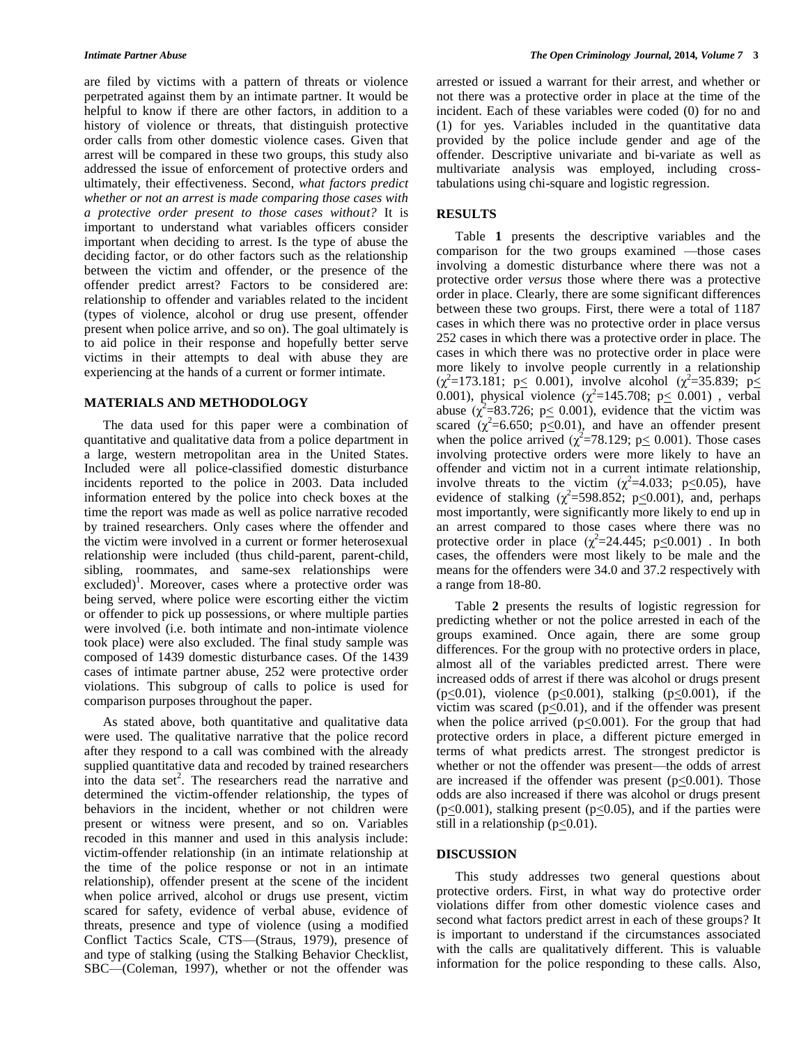are filed by victims with a pattern of threats or violence perpetrated against them by an intimate partner. It would be helpful to know if there are other factors, in addition to a history of violence or threats, that distinguish protective order calls from other domestic violence cases. Given that arrest will be compared in these two groups, this study also addressed the issue of enforcement of protective orders and ultimately, their effectiveness. Second, *what factors predict whether or not an arrest is made comparing those cases with a protective order present to those cases without?* It is important to understand what variables officers consider important when deciding to arrest. Is the type of abuse the deciding factor, or do other factors such as the relationship between the victim and offender, or the presence of the offender predict arrest? Factors to be considered are: relationship to offender and variables related to the incident (types of violence, alcohol or drug use present, offender present when police arrive, and so on). The goal ultimately is to aid police in their response and hopefully better serve victims in their attempts to deal with abuse they are experiencing at the hands of a current or former intimate.

#### **MATERIALS AND METHODOLOGY**

The data used for this paper were a combination of quantitative and qualitative data from a police department in a large, western metropolitan area in the United States. Included were all police-classified domestic disturbance incidents reported to the police in 2003. Data included information entered by the police into check boxes at the time the report was made as well as police narrative recoded by trained researchers. Only cases where the offender and the victim were involved in a current or former heterosexual relationship were included (thus child-parent, parent-child, sibling, roommates, and same-sex relationships were excluded)<sup>1</sup>. Moreover, cases where a protective order was being served, where police were escorting either the victim or offender to pick up possessions, or where multiple parties were involved (i.e. both intimate and non-intimate violence took place) were also excluded. The final study sample was composed of 1439 domestic disturbance cases. Of the 1439 cases of intimate partner abuse, 252 were protective order violations. This subgroup of calls to police is used for comparison purposes throughout the paper.

As stated above, both quantitative and qualitative data were used. The qualitative narrative that the police record after they respond to a call was combined with the already supplied quantitative data and recoded by trained researchers into the data set<sup>2</sup>. The researchers read the narrative and determined the victim-offender relationship, the types of behaviors in the incident, whether or not children were present or witness were present, and so on. Variables recoded in this manner and used in this analysis include: victim-offender relationship (in an intimate relationship at the time of the police response or not in an intimate relationship), offender present at the scene of the incident when police arrived, alcohol or drugs use present, victim scared for safety, evidence of verbal abuse, evidence of threats, presence and type of violence (using a modified Conflict Tactics Scale, CTS—(Straus, 1979), presence of and type of stalking (using the Stalking Behavior Checklist, SBC—(Coleman, 1997), whether or not the offender was

arrested or issued a warrant for their arrest, and whether or not there was a protective order in place at the time of the incident. Each of these variables were coded (0) for no and (1) for yes. Variables included in the quantitative data provided by the police include gender and age of the offender. Descriptive univariate and bi-variate as well as multivariate analysis was employed, including crosstabulations using chi-square and logistic regression.

#### **RESULTS**

Table **1** presents the descriptive variables and the comparison for the two groups examined —those cases involving a domestic disturbance where there was not a protective order *versus* those where there was a protective order in place. Clearly, there are some significant differences between these two groups. First, there were a total of 1187 cases in which there was no protective order in place versus 252 cases in which there was a protective order in place. The cases in which there was no protective order in place were more likely to involve people currently in a relationship  $(\chi^2 = 173.181; p \le 0.001)$ , involve alcohol  $(\chi^2 = 35.839; p \le 0.001)$ 0.001), physical violence  $(\chi^2=145.708; p \leq 0.001)$ , verbal abuse  $(\chi^2 = 83.726; p \le 0.001)$ , evidence that the victim was scared  $\chi^2$ =6.650; p<0.01), and have an offender present when the police arrived  $(\chi^2 = 78.129; p \le 0.001)$ . Those cases involving protective orders were more likely to have an offender and victim not in a current intimate relationship, involve threats to the victim  $(\chi^2=4.033; \ p \le 0.05)$ , have evidence of stalking  $(\chi^2 = 598.852, p \le 0.001)$ , and, perhaps most importantly, were significantly more likely to end up in an arrest compared to those cases where there was no protective order in place  $(\chi^2=24.445; p \le 0.001)$ . In both cases, the offenders were most likely to be male and the means for the offenders were 34.0 and 37.2 respectively with a range from 18-80.

Table **2** presents the results of logistic regression for predicting whether or not the police arrested in each of the groups examined. Once again, there are some group differences. For the group with no protective orders in place, almost all of the variables predicted arrest. There were increased odds of arrest if there was alcohol or drugs present  $(p<0.01)$ , violence  $(p<0.001)$ , stalking  $(p<0.001)$ , if the victim was scared ( $p \le 0.01$ ), and if the offender was present when the police arrived ( $p \le 0.001$ ). For the group that had protective orders in place, a different picture emerged in terms of what predicts arrest. The strongest predictor is whether or not the offender was present—the odds of arrest are increased if the offender was present  $(p<0.001)$ . Those odds are also increased if there was alcohol or drugs present  $(p \le 0.001)$ , stalking present  $(p \le 0.05)$ , and if the parties were still in a relationship ( $p \leq 0.01$ ).

#### **DISCUSSION**

This study addresses two general questions about protective orders. First, in what way do protective order violations differ from other domestic violence cases and second what factors predict arrest in each of these groups? It is important to understand if the circumstances associated with the calls are qualitatively different. This is valuable information for the police responding to these calls. Also,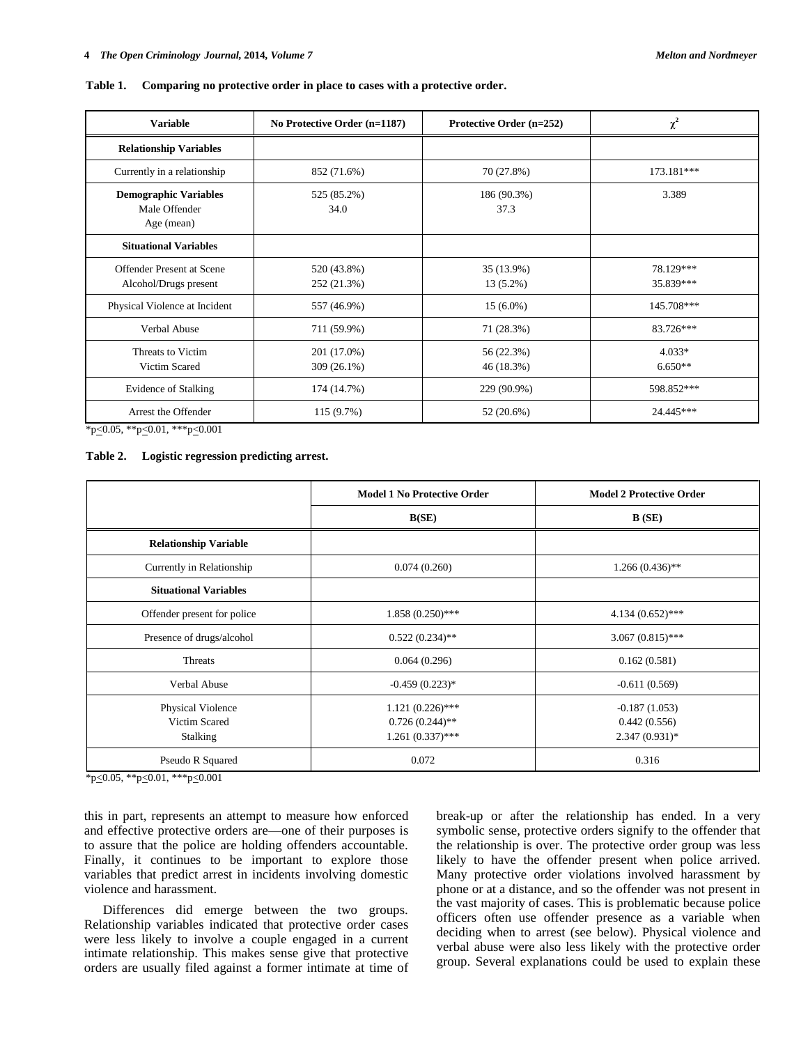| <b>Variable</b>                                             | No Protective Order (n=1187) | Protective Order (n=252)  | $\chi^2$               |
|-------------------------------------------------------------|------------------------------|---------------------------|------------------------|
| <b>Relationship Variables</b>                               |                              |                           |                        |
| Currently in a relationship                                 | 852 (71.6%)                  | 70 (27.8%)                | 173.181***             |
| <b>Demographic Variables</b><br>Male Offender<br>Age (mean) | 525 (85.2%)<br>34.0          | 186 (90.3%)<br>37.3       | 3.389                  |
| <b>Situational Variables</b>                                |                              |                           |                        |
| Offender Present at Scene<br>Alcohol/Drugs present          | 520 (43.8%)<br>252 (21.3%)   | 35 (13.9%)<br>$13(5.2\%)$ | 78.129***<br>35.839*** |
| Physical Violence at Incident                               | 557 (46.9%)                  | $15(6.0\%)$               | 145.708***             |
| Verbal Abuse                                                | 711 (59.9%)                  | 71 (28.3%)                | 83.726***              |
| Threats to Victim<br>Victim Scared                          | 201 (17.0%)<br>309 (26.1%)   | 56 (22.3%)<br>46 (18.3%)  | $4.033*$<br>$6.650**$  |
| <b>Evidence of Stalking</b>                                 | 174 (14.7%)                  | 229 (90.9%)               | 598.852***             |
| Arrest the Offender                                         | 115 (9.7%)                   | 52 (20.6%)                | 24.445***              |

#### **Table 1. Comparing no protective order in place to cases with a protective order.**

\*p<0.05, \*\*p<0.01, \*\*\*p<0.001

#### **Table 2. Logistic regression predicting arrest.**

|                              | <b>Model 1 No Protective Order</b> | <b>Model 2 Protective Order</b> |
|------------------------------|------------------------------------|---------------------------------|
|                              | B(SE)                              | B(SE)                           |
| <b>Relationship Variable</b> |                                    |                                 |
| Currently in Relationship    | 0.074(0.260)                       | $1.266(0.436)$ **               |
| <b>Situational Variables</b> |                                    |                                 |
| Offender present for police  | $1.858(0.250)$ ***                 | $4.134(0.652)$ ***              |
| Presence of drugs/alcohol    | $0.522(0.234)$ **                  | $3.067(0.815)$ ***              |
| Threats                      | 0.064(0.296)                       | 0.162(0.581)                    |
| Verbal Abuse                 | $-0.459(0.223)*$                   | $-0.611(0.569)$                 |
| Physical Violence            | $1.121(0.226)$ ***                 | $-0.187(1.053)$                 |
| Victim Scared                | $0.726(0.244)$ **                  | 0.442(0.556)                    |
| <b>Stalking</b>              | $1.261(0.337)$ ***                 | $2.347(0.931)*$                 |
| Pseudo R Squared             | 0.072                              | 0.316                           |

\*p<0.05, \*\*p<0.01, \*\*\*p<0.001

this in part, represents an attempt to measure how enforced and effective protective orders are—one of their purposes is to assure that the police are holding offenders accountable. Finally, it continues to be important to explore those variables that predict arrest in incidents involving domestic violence and harassment.

Differences did emerge between the two groups. Relationship variables indicated that protective order cases were less likely to involve a couple engaged in a current intimate relationship. This makes sense give that protective orders are usually filed against a former intimate at time of break-up or after the relationship has ended. In a very symbolic sense, protective orders signify to the offender that the relationship is over. The protective order group was less likely to have the offender present when police arrived. Many protective order violations involved harassment by phone or at a distance, and so the offender was not present in the vast majority of cases. This is problematic because police officers often use offender presence as a variable when deciding when to arrest (see below). Physical violence and verbal abuse were also less likely with the protective order group. Several explanations could be used to explain these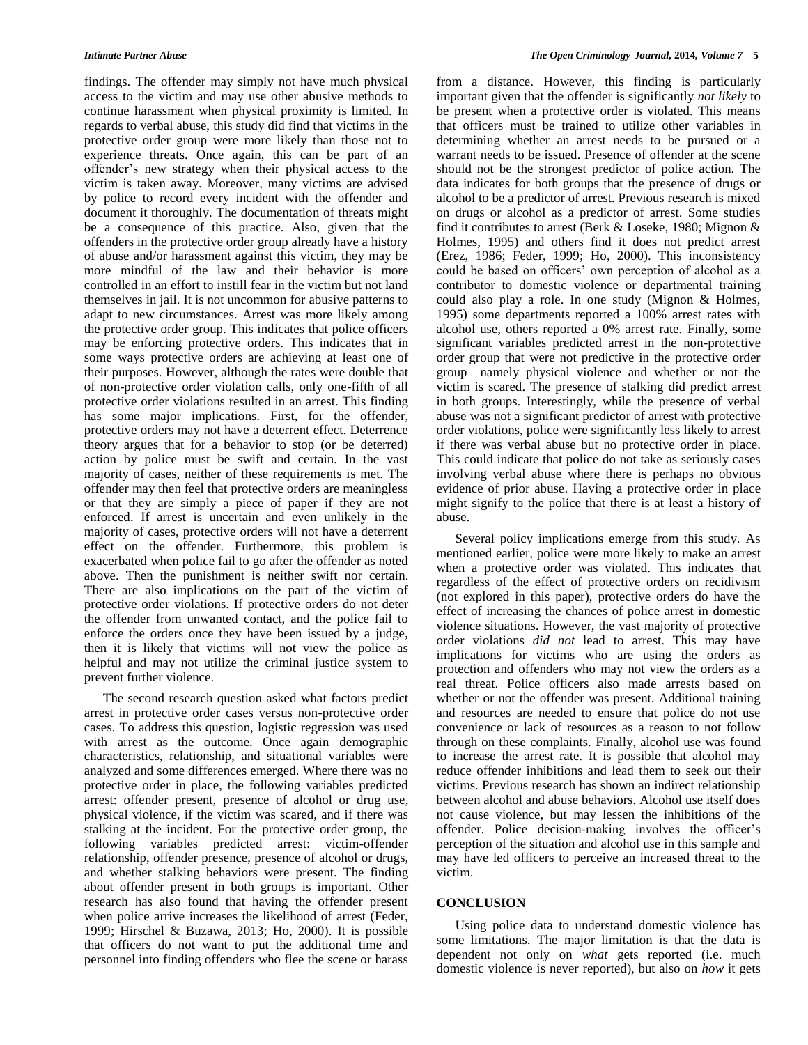findings. The offender may simply not have much physical access to the victim and may use other abusive methods to continue harassment when physical proximity is limited. In regards to verbal abuse, this study did find that victims in the protective order group were more likely than those not to experience threats. Once again, this can be part of an offender's new strategy when their physical access to the victim is taken away. Moreover, many victims are advised by police to record every incident with the offender and document it thoroughly. The documentation of threats might be a consequence of this practice. Also, given that the offenders in the protective order group already have a history of abuse and/or harassment against this victim, they may be more mindful of the law and their behavior is more controlled in an effort to instill fear in the victim but not land themselves in jail. It is not uncommon for abusive patterns to adapt to new circumstances. Arrest was more likely among the protective order group. This indicates that police officers may be enforcing protective orders. This indicates that in some ways protective orders are achieving at least one of their purposes. However, although the rates were double that of non-protective order violation calls, only one-fifth of all protective order violations resulted in an arrest. This finding has some major implications. First, for the offender, protective orders may not have a deterrent effect. Deterrence theory argues that for a behavior to stop (or be deterred) action by police must be swift and certain. In the vast majority of cases, neither of these requirements is met. The offender may then feel that protective orders are meaningless or that they are simply a piece of paper if they are not enforced. If arrest is uncertain and even unlikely in the majority of cases, protective orders will not have a deterrent effect on the offender. Furthermore, this problem is exacerbated when police fail to go after the offender as noted above. Then the punishment is neither swift nor certain. There are also implications on the part of the victim of protective order violations. If protective orders do not deter the offender from unwanted contact, and the police fail to enforce the orders once they have been issued by a judge, then it is likely that victims will not view the police as helpful and may not utilize the criminal justice system to prevent further violence.

The second research question asked what factors predict arrest in protective order cases versus non-protective order cases. To address this question, logistic regression was used with arrest as the outcome. Once again demographic characteristics, relationship, and situational variables were analyzed and some differences emerged. Where there was no protective order in place, the following variables predicted arrest: offender present, presence of alcohol or drug use, physical violence, if the victim was scared, and if there was stalking at the incident. For the protective order group, the following variables predicted arrest: victim-offender relationship, offender presence, presence of alcohol or drugs, and whether stalking behaviors were present. The finding about offender present in both groups is important. Other research has also found that having the offender present when police arrive increases the likelihood of arrest (Feder, 1999; Hirschel & Buzawa, 2013; Ho, 2000). It is possible that officers do not want to put the additional time and personnel into finding offenders who flee the scene or harass

from a distance. However, this finding is particularly important given that the offender is significantly *not likely* to be present when a protective order is violated. This means that officers must be trained to utilize other variables in determining whether an arrest needs to be pursued or a warrant needs to be issued. Presence of offender at the scene should not be the strongest predictor of police action. The data indicates for both groups that the presence of drugs or alcohol to be a predictor of arrest. Previous research is mixed on drugs or alcohol as a predictor of arrest. Some studies find it contributes to arrest (Berk & Loseke, 1980; Mignon & Holmes, 1995) and others find it does not predict arrest (Erez, 1986; Feder, 1999; Ho, 2000). This inconsistency could be based on officers' own perception of alcohol as a contributor to domestic violence or departmental training could also play a role. In one study (Mignon & Holmes, 1995) some departments reported a 100% arrest rates with alcohol use, others reported a 0% arrest rate. Finally, some significant variables predicted arrest in the non-protective order group that were not predictive in the protective order group—namely physical violence and whether or not the victim is scared. The presence of stalking did predict arrest in both groups. Interestingly, while the presence of verbal abuse was not a significant predictor of arrest with protective order violations, police were significantly less likely to arrest if there was verbal abuse but no protective order in place. This could indicate that police do not take as seriously cases involving verbal abuse where there is perhaps no obvious evidence of prior abuse. Having a protective order in place might signify to the police that there is at least a history of abuse.

Several policy implications emerge from this study. As mentioned earlier, police were more likely to make an arrest when a protective order was violated. This indicates that regardless of the effect of protective orders on recidivism (not explored in this paper), protective orders do have the effect of increasing the chances of police arrest in domestic violence situations. However, the vast majority of protective order violations *did not* lead to arrest. This may have implications for victims who are using the orders as protection and offenders who may not view the orders as a real threat. Police officers also made arrests based on whether or not the offender was present. Additional training and resources are needed to ensure that police do not use convenience or lack of resources as a reason to not follow through on these complaints. Finally, alcohol use was found to increase the arrest rate. It is possible that alcohol may reduce offender inhibitions and lead them to seek out their victims. Previous research has shown an indirect relationship between alcohol and abuse behaviors. Alcohol use itself does not cause violence, but may lessen the inhibitions of the offender. Police decision-making involves the officer's perception of the situation and alcohol use in this sample and may have led officers to perceive an increased threat to the victim.

## **CONCLUSION**

Using police data to understand domestic violence has some limitations. The major limitation is that the data is dependent not only on *what* gets reported (i.e. much domestic violence is never reported), but also on *how* it gets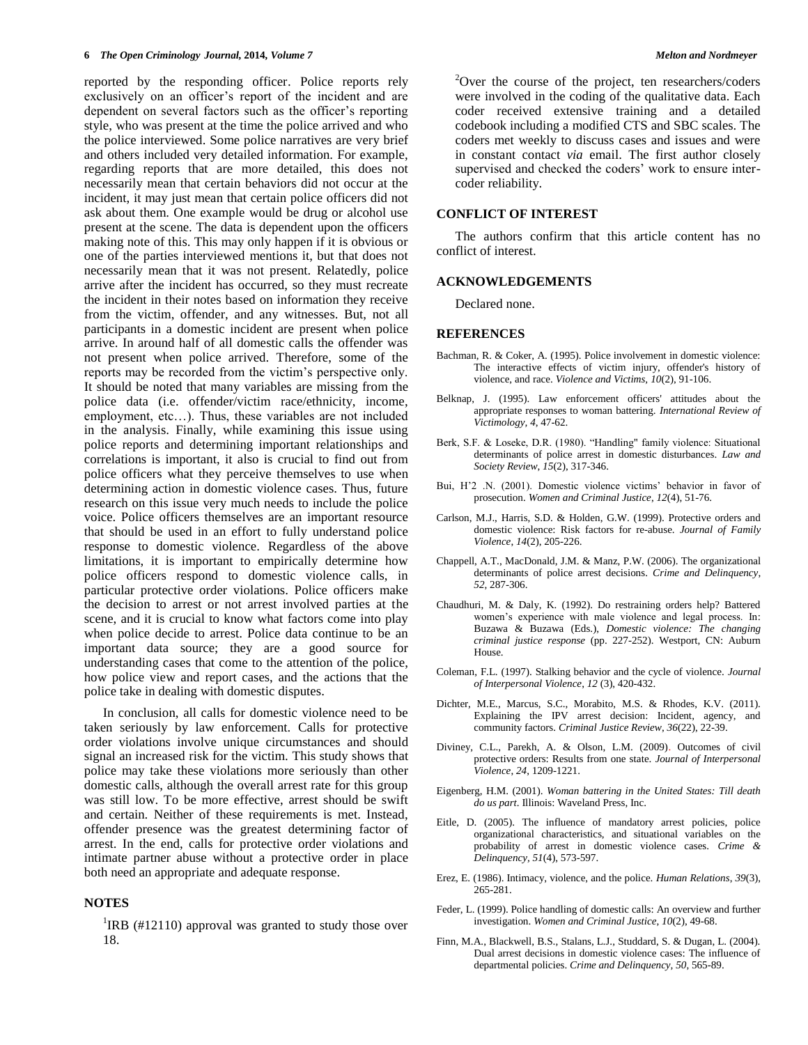reported by the responding officer. Police reports rely exclusively on an officer's report of the incident and are dependent on several factors such as the officer's reporting style, who was present at the time the police arrived and who the police interviewed. Some police narratives are very brief and others included very detailed information. For example, regarding reports that are more detailed, this does not necessarily mean that certain behaviors did not occur at the incident, it may just mean that certain police officers did not ask about them. One example would be drug or alcohol use present at the scene. The data is dependent upon the officers making note of this. This may only happen if it is obvious or one of the parties interviewed mentions it, but that does not necessarily mean that it was not present. Relatedly, police arrive after the incident has occurred, so they must recreate the incident in their notes based on information they receive from the victim, offender, and any witnesses. But, not all participants in a domestic incident are present when police arrive. In around half of all domestic calls the offender was not present when police arrived. Therefore, some of the reports may be recorded from the victim's perspective only. It should be noted that many variables are missing from the police data (i.e. offender/victim race/ethnicity, income, employment, etc…). Thus, these variables are not included in the analysis. Finally, while examining this issue using police reports and determining important relationships and correlations is important, it also is crucial to find out from police officers what they perceive themselves to use when determining action in domestic violence cases. Thus, future research on this issue very much needs to include the police voice. Police officers themselves are an important resource that should be used in an effort to fully understand police response to domestic violence. Regardless of the above limitations, it is important to empirically determine how police officers respond to domestic violence calls, in particular protective order violations. Police officers make the decision to arrest or not arrest involved parties at the scene, and it is crucial to know what factors come into play when police decide to arrest. Police data continue to be an important data source; they are a good source for understanding cases that come to the attention of the police, how police view and report cases, and the actions that the police take in dealing with domestic disputes.

In conclusion, all calls for domestic violence need to be taken seriously by law enforcement. Calls for protective order violations involve unique circumstances and should signal an increased risk for the victim. This study shows that police may take these violations more seriously than other domestic calls, although the overall arrest rate for this group was still low. To be more effective, arrest should be swift and certain. Neither of these requirements is met. Instead, offender presence was the greatest determining factor of arrest. In the end, calls for protective order violations and intimate partner abuse without a protective order in place both need an appropriate and adequate response.

## **NOTES**

<sup>1</sup>IRB (#12110) approval was granted to study those over 18.

<sup>2</sup>Over the course of the project, ten researchers/coders were involved in the coding of the qualitative data. Each coder received extensive training and a detailed codebook including a modified CTS and SBC scales. The coders met weekly to discuss cases and issues and were in constant contact *via* email. The first author closely supervised and checked the coders' work to ensure intercoder reliability.

## **CONFLICT OF INTEREST**

The authors confirm that this article content has no conflict of interest.

#### **ACKNOWLEDGEMENTS**

Declared none.

#### **REFERENCES**

- Bachman, R. & Coker, A. (1995). Police involvement in domestic violence: The interactive effects of victim injury, offender's history of violence, and race. *Violence and Victims, 10*(2), 91-106.
- Belknap, J. (1995). Law enforcement officers' attitudes about the appropriate responses to woman battering. *International Review of Victimology, 4*, 47-62.
- Berk, S.F. & Loseke, D.R. (1980). "Handling" family violence: Situational determinants of police arrest in domestic disturbances. *Law and Society Review*, *15*(2), 317-346.
- Bui, H'2 .N. (2001). Domestic violence victims' behavior in favor of prosecution. *Women and Criminal Justice*, *12*(4), 51-76.
- Carlson, M.J., Harris, S.D. & Holden, G.W. (1999). Protective orders and domestic violence: Risk factors for re-abuse. *Journal of Family Violence*, *14*(2), 205-226.
- Chappell, A.T., MacDonald, J.M. & Manz, P.W. (2006). The organizational determinants of police arrest decisions. *Crime and Delinquency*, *52*, 287-306.
- Chaudhuri, M. & Daly, K. (1992). Do restraining orders help? Battered women's experience with male violence and legal process. In: Buzawa & Buzawa (Eds.), *Domestic violence: The changing criminal justice response* (pp. 227-252). Westport, CN: Auburn House.
- Coleman, F.L. (1997). Stalking behavior and the cycle of violence. *Journal of Interpersonal Violence*, *12* (3), 420-432.
- Dichter, M.E., Marcus, S.C., Morabito, M.S. & Rhodes, K.V. (2011). Explaining the IPV arrest decision: Incident, agency, and community factors. *Criminal Justice Review*, *36*(22), 22-39.
- Diviney, C.L., Parekh, A. & Olson, L.M. (2009). Outcomes of civil protective orders: Results from one state. *Journal of Interpersonal Violence*, *24*, 1209-1221.
- Eigenberg, H.M. (2001). *Woman battering in the United States: Till death do us part*. Illinois: Waveland Press, Inc.
- Eitle, D. (2005). The influence of mandatory arrest policies, police organizational characteristics, and situational variables on the probability of arrest in domestic violence cases. *Crime & Delinquency, 51*(4), 573-597.
- Erez, E. (1986). Intimacy, violence, and the police. *Human Relations*, *39*(3), 265-281.
- Feder, L. (1999). Police handling of domestic calls: An overview and further investigation. *Women and Criminal Justice*, *10*(2), 49-68.
- Finn, M.A., Blackwell, B.S., Stalans, L.J., Studdard, S. & Dugan, L. (2004). Dual arrest decisions in domestic violence cases: The influence of departmental policies. *Crime and Delinquency, 50*, 565-89.